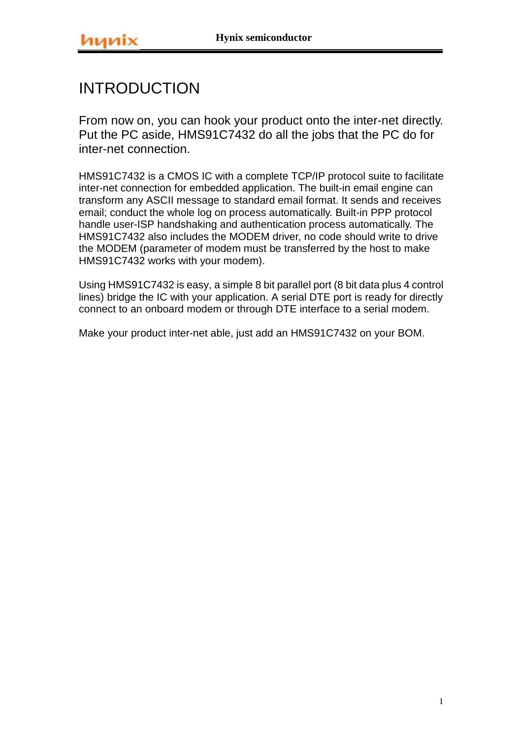# INTRODUCTION

From now on, you can hook your product onto the inter-net directly. Put the PC aside, HMS91C7432 do all the jobs that the PC do for inter-net connection.

HMS91C7432 is a CMOS IC with a complete TCP/IP protocol suite to facilitate inter-net connection for embedded application. The built-in email engine can transform any ASCII message to standard email format. It sends and receives email; conduct the whole log on process automatically. Built-in PPP protocol handle user-ISP handshaking and authentication process automatically. The HMS91C7432 also includes the MODEM driver, no code should write to drive the MODEM (parameter of modem must be transferred by the host to make HMS91C7432 works with your modem).

Using HMS91C7432 is easy, a simple 8 bit parallel port (8 bit data plus 4 control lines) bridge the IC with your application. A serial DTE port is ready for directly connect to an onboard modem or through DTE interface to a serial modem.

Make your product inter-net able, just add an HMS91C7432 on your BOM.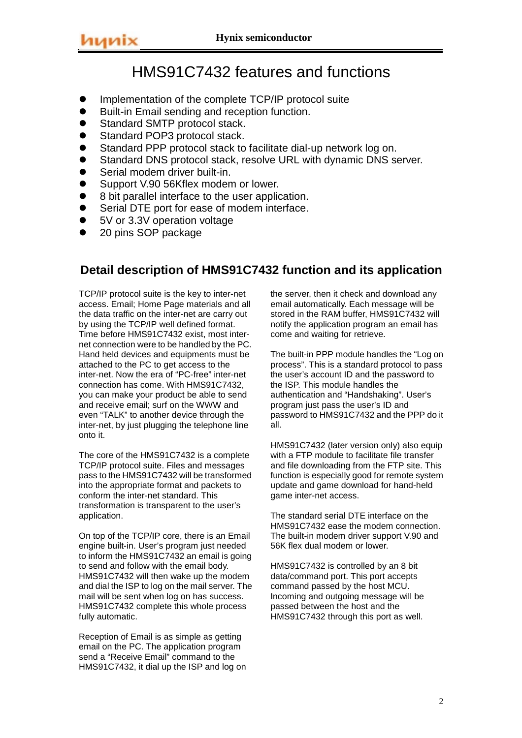# HMS91C7432 features and functions

- Implementation of the complete TCP/IP protocol suite
- Built-in Email sending and reception function.
- **•** Standard SMTP protocol stack.
- Standard POP3 protocol stack.
- Standard PPP protocol stack to facilitate dial-up network log on.
- Standard DNS protocol stack, resolve URL with dynamic DNS server.
- Serial modem driver built-in.
- Support V.90 56Kflex modem or lower.
- 8 bit parallel interface to the user application.
- Serial DTE port for ease of modem interface.
- 5V or 3.3V operation voltage
- 20 pins SOP package

## **Detail description of HMS91C7432 function and its application**

TCP/IP protocol suite is the key to inter-net access. Email; Home Page materials and all the data traffic on the inter-net are carry out by using the TCP/IP well defined format. Time before HMS91C7432 exist, most internet connection were to be handled by the PC. Hand held devices and equipments must be attached to the PC to get access to the inter-net. Now the era of "PC-free" inter-net connection has come. With HMS91C7432, you can make your product be able to send and receive email; surf on the WWW and even "TALK" to another device through the inter-net, by just plugging the telephone line onto it.

The core of the HMS91C7432 is a complete TCP/IP protocol suite. Files and messages pass to the HMS91C7432 will be transformed into the appropriate format and packets to conform the inter-net standard. This transformation is transparent to the user's application.

On top of the TCP/IP core, there is an Email engine built-in. User's program just needed to inform the HMS91C7432 an email is going to send and follow with the email body. HMS91C7432 will then wake up the modem and dial the ISP to log on the mail server. The mail will be sent when log on has success. HMS91C7432 complete this whole process fully automatic.

Reception of Email is as simple as getting email on the PC. The application program send a "Receive Email" command to the HMS91C7432, it dial up the ISP and log on the server, then it check and download any email automatically. Each message will be stored in the RAM buffer, HMS91C7432 will notify the application program an email has come and waiting for retrieve.

The built-in PPP module handles the "Log on process". This is a standard protocol to pass the user's account ID and the password to the ISP. This module handles the authentication and "Handshaking". User's program just pass the user's ID and password to HMS91C7432 and the PPP do it all.

HMS91C7432 (later version only) also equip with a FTP module to facilitate file transfer and file downloading from the FTP site. This function is especially good for remote system update and game download for hand-held game inter-net access.

The standard serial DTE interface on the HMS91C7432 ease the modem connection. The built-in modem driver support V.90 and 56K flex dual modem or lower.

HMS91C7432 is controlled by an 8 bit data/command port. This port accepts command passed by the host MCU. Incoming and outgoing message will be passed between the host and the HMS91C7432 through this port as well.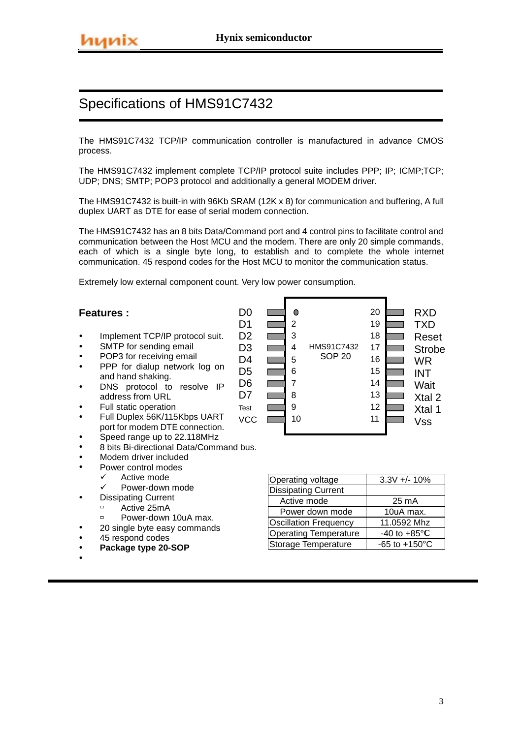The HMS91C7432 TCP/IP communication controller is manufactured in advance CMOS process.

The HMS91C7432 implement complete TCP/IP protocol suite includes PPP; IP; ICMP;TCP; UDP; DNS; SMTP; POP3 protocol and additionally a general MODEM driver.

The HMS91C7432 is built-in with 96Kb SRAM (12K x 8) for communication and buffering, A full duplex UART as DTE for ease of serial modem connection.

The HMS91C7432 has an 8 bits Data/Command port and 4 control pins to facilitate control and communication between the Host MCU and the modem. There are only 20 simple commands, each of which is a single byte long, to establish and to complete the whole internet communication. 45 respond codes for the Host MCU to monitor the communication status.

> D0 D<sub>1</sub> D<sub>2</sub> D<sub>3</sub>  $D4$ D<sub>5</sub> D6 D7

Extremely low external component count. Very low power consumption.

### **Features :**

- Implement TCP/IP protocol suit.
- SMTP for sending email
- POP3 for receiving email
- PPP for dialup network log on and hand shaking.
- DNS protocol to resolve IP address from URL
- Full static operation
- Full Duplex 56K/115Kbps UART port for modem DTE connection.
- Speed range up to 22.118MHz
- 8 bits Bi-directional Data/Command bus.
- Modem driver included
- Power control modes
	- V Active mode<br>V Power-down
	- Power-down mode
- **Dissipating Current** 
	- $\overline{P}$  Active 25mA
	- $P$ ower-down 10uA max.
- 20 single byte easy commands
- 45 respond codes
- Package type 20-SOP
- $\bullet$



| Operating voltage            | $3.3V +/- 10%$                  |
|------------------------------|---------------------------------|
| <b>Dissipating Current</b>   |                                 |
| Active mode                  | 25 mA                           |
| Power down mode              | 10uA max.                       |
| Oscillation Frequency        | 11.0592 Mhz                     |
| <b>Operating Temperature</b> | -40 to +85 $\mathrm{^{\circ}C}$ |
| Storage Temperature          | $-65$ to $+150^{\circ}$ C       |

3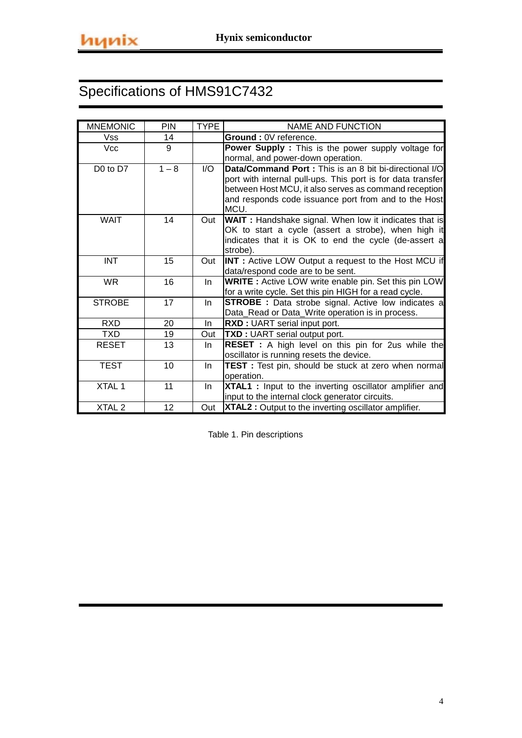| <b>MNEMONIC</b>   | PIN     | <b>TYPE</b>             | NAME AND FUNCTION                                             |
|-------------------|---------|-------------------------|---------------------------------------------------------------|
| Vss               | 14      |                         | Ground : 0V reference.                                        |
| <b>Vcc</b>        | 9       |                         | Power Supply: This is the power supply voltage for            |
|                   |         |                         | normal, and power-down operation.                             |
| D0 to D7          | $1 - 8$ | $\mathsf{I}/\mathsf{O}$ | Data/Command Port: This is an 8 bit bi-directional I/O        |
|                   |         |                         | port with internal pull-ups. This port is for data transfer   |
|                   |         |                         | between Host MCU, it also serves as command reception         |
|                   |         |                         | and responds code issuance port from and to the Host<br>MCU.  |
| <b>WAIT</b>       | 14      | Out                     | <b>WAIT</b> : Handshake signal. When low it indicates that is |
|                   |         |                         | OK to start a cycle (assert a strobe), when high it           |
|                   |         |                         | indicates that it is OK to end the cycle (de-assert a         |
|                   |         |                         | strobe).                                                      |
| <b>INT</b>        | 15      | Out                     | <b>INT</b> : Active LOW Output a request to the Host MCU if   |
|                   |         |                         | data/respond code are to be sent.                             |
| WR.               | 16      | In.                     | <b>WRITE</b> : Active LOW write enable pin. Set this pin LOW  |
|                   |         |                         | for a write cycle. Set this pin HIGH for a read cycle.        |
| <b>STROBE</b>     | 17      | <b>In</b>               | <b>STROBE</b> : Data strobe signal. Active low indicates a    |
|                   |         |                         | Data_Read or Data_Write operation is in process.              |
| <b>RXD</b>        | 20      | In.                     | RXD: UART serial input port.                                  |
| TXD.              | 19      | Out                     | TXD : UART serial output port.                                |
| <b>RESET</b>      | 13      | In.                     | <b>RESET</b> : A high level on this pin for 2us while the     |
|                   |         |                         | oscillator is running resets the device.                      |
| <b>TEST</b>       | 10      | In.                     | TEST : Test pin, should be stuck at zero when normal          |
|                   |         |                         | operation.                                                    |
| XTAL 1            | 11      | In.                     | XTAL1 : Input to the inverting oscillator amplifier and       |
|                   |         |                         | input to the internal clock generator circuits.               |
| XTAL <sub>2</sub> | 12      | Out                     | XTAL2 : Output to the inverting oscillator amplifier.         |

Table 1. Pin descriptions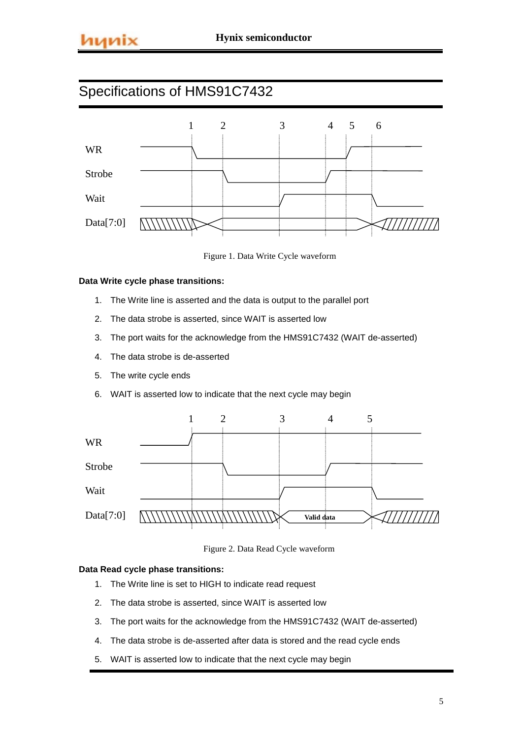

Figure 1. Data Write Cycle waveform

### **Data Write cycle phase transitions:**

- 1. The Write line is asserted and the data is output to the parallel port
- 2. The data strobe is asserted, since WAIT is asserted low
- 3. The port waits for the acknowledge from the HMS91C7432 (WAIT de-asserted)
- 4. The data strobe is de-asserted
- 5. The write cycle ends
- 6. WAIT is asserted low to indicate that the next cycle may begin



Figure 2. Data Read Cycle waveform

### **Data Read cycle phase transitions:**

- 1. The Write line is set to HIGH to indicate read request
- 2. The data strobe is asserted, since WAIT is asserted low
- 3. The port waits for the acknowledge from the HMS91C7432 (WAIT de-asserted)
- 4. The data strobe is de-asserted after data is stored and the read cycle ends
- 5. WAIT is asserted low to indicate that the next cycle may begin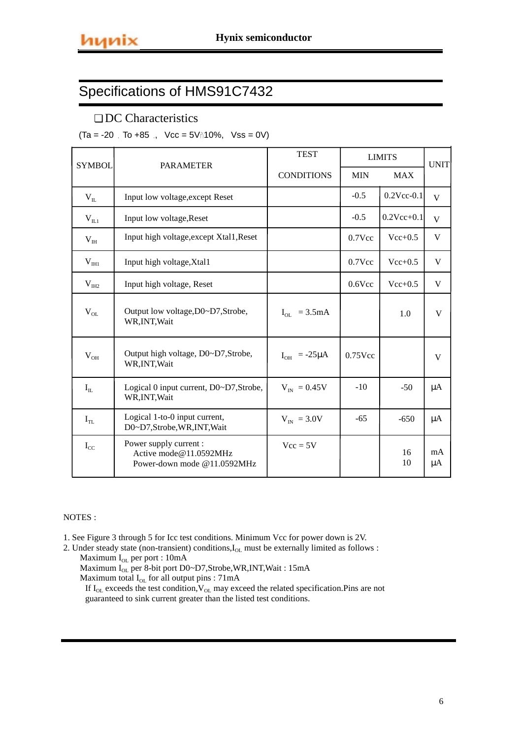## ❏ DC Characteristics

 $(Ta = -20$  To  $+85$  , Vcc =  $5V\{10\},$  Vss = 0V)

| <b>SYMBOL</b>         | <b>PARAMETER</b>                                                                | <b>TEST</b>            |            | <b>LIMITS</b>    | <b>UNIT</b> |
|-----------------------|---------------------------------------------------------------------------------|------------------------|------------|------------------|-------------|
|                       |                                                                                 | <b>CONDITIONS</b>      | <b>MIN</b> | <b>MAX</b>       |             |
| $\rm V_{II}$          | Input low voltage, except Reset                                                 |                        | $-0.5$     | $0.2$ Vcc- $0.1$ | V           |
| $V_{IL1}$             | Input low voltage, Reset                                                        |                        | $-0.5$     | $0.2Vec{+}0.1$   | V           |
| V <sub>IH</sub>       | Input high voltage, except Xtal1, Reset                                         |                        | $0.7$ Vcc  | $Vec{+}0.5$      | V           |
| V <sub>III1</sub>     | Input high voltage, Xtal1                                                       |                        | $0.7$ Vcc  | $Vec+0.5$        | V           |
| V <sub>III2</sub>     | Input high voltage, Reset                                                       |                        | $0.6$ Vcc  | $Vec{+}0.5$      | V           |
| $V_{OL}$              | Output low voltage, D0~D7, Strobe,<br>WR, INT, Wait                             | $I_{OL}$ = 3.5mA       |            | 1.0              | V           |
| $V_{OH}$              | Output high voltage, D0~D7, Strobe,<br>WR, INT, Wait                            | $I_{OH}$ = -25 $\mu$ A | $0.75$ Vcc |                  | V           |
| $\mathbf{I}_{\rm IL}$ | Logical 0 input current, D0~D7, Strobe,<br>WR, INT, Wait                        | $V_{IN} = 0.45V$       | $-10$      | $-50$            | $\mu A$     |
| $I_{TL}$              | Logical 1-to-0 input current,<br>D0~D7,Strobe,WR,INT,Wait                       | $V_{IN}$ = 3.0V        | $-65$      | $-650$           | $\mu A$     |
| $I_{CC}$              | Power supply current :<br>Active mode@11.0592MHz<br>Power-down mode @11.0592MHz | $Vec = 5V$             |            | 16<br>10         | mA<br>μA    |

#### NOTES :

1. See Figure 3 through 5 for Icc test conditions. Minimum Vcc for power down is 2V.

2. Under steady state (non-transient) conditions, $I_{OL}$  must be externally limited as follows : Maximum I<sub>OL</sub> per port : 10mA

Maximum  $\rm I_{OL}$  per 8-bit port D0~D7,Strobe,WR,INT,Wait : 15mA

Maximum total  $I_{OL}$  for all output pins :  $71mA$ 

If  $I_{OL}$  exceeds the test condition,  $V_{OL}$  may exceed the related specification. Pins are not guaranteed to sink current greater than the listed test conditions.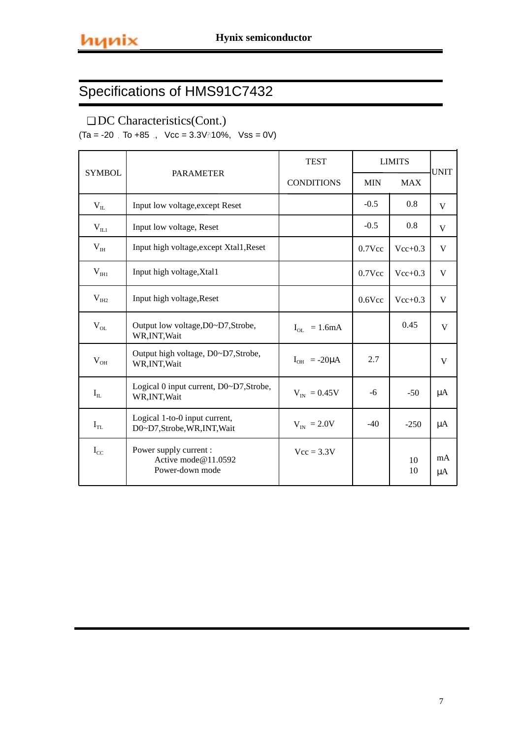## ❏ DC Characteristics(Cont.)

 $(Ta = -20$  To  $+85$  , Vcc = 3.3V $\hat{n}$ 10%, Vss = 0V)

|               |                                                                  | <b>TEST</b>            |            | <b>LIMITS</b> | <b>UNIT</b> |
|---------------|------------------------------------------------------------------|------------------------|------------|---------------|-------------|
| <b>SYMBOL</b> | <b>PARAMETER</b>                                                 | <b>CONDITIONS</b>      | <b>MIN</b> | <b>MAX</b>    |             |
| $V_{IL}$      | Input low voltage, except Reset                                  |                        | $-0.5$     | 0.8           | V           |
| $\rm V_{II1}$ | Input low voltage, Reset                                         |                        | $-0.5$     | 0.8           | V           |
| $V_{III}$     | Input high voltage, except Xtal1, Reset                          |                        | $0.7$ Vcc  | $Vec+0.3$     | V           |
| $V_{HH}$      | Input high voltage, Xtal1                                        |                        | $0.7$ Vcc  | $Vec+0.3$     | V           |
| $V_{IH2}$     | Input high voltage, Reset                                        |                        | $0.6$ Vcc  | $Vec+0.3$     | V           |
| $\rm V_{OL}$  | Output low voltage, D0~D7, Strobe,<br>WR, INT, Wait              | $I_{OL} = 1.6mA$       |            | 0.45          | V           |
| $V_{OH}$      | Output high voltage, D0~D7,Strobe,<br>WR, INT, Wait              | $I_{OH}$ = -20 $\mu$ A | 2.7        |               | V           |
| $I_{IL}$      | Logical 0 input current, D0~D7, Strobe,<br>WR, INT, Wait         | $V_{IN} = 0.45V$       | -6         | $-50$         | $\mu A$     |
| $I_{TL}$      | Logical 1-to-0 input current,<br>D0~D7,Strobe,WR,INT,Wait        | $V_{IN}$ = 2.0V        | $-40$      | $-250$        | $\mu A$     |
| $I_{CC}$      | Power supply current :<br>Active mode@11.0592<br>Power-down mode | $Vec = 3.3V$           |            | 10<br>10      | mA<br>μA    |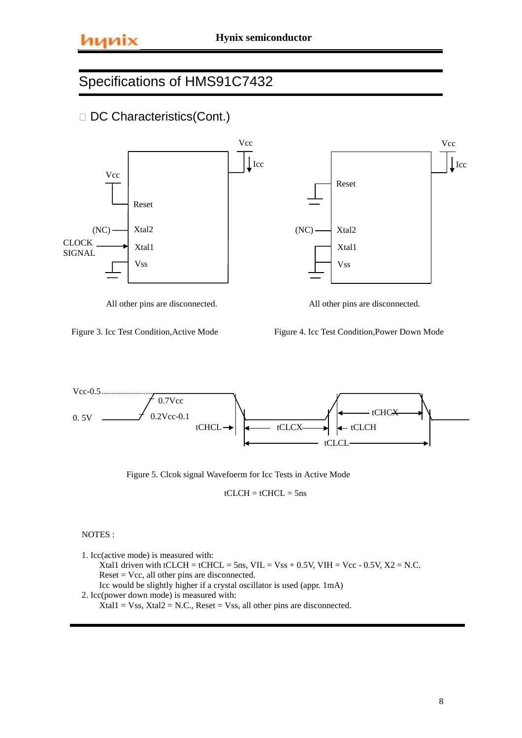



All other pins are disconnected. All other pins are disconnected.



Figure 4. Icc Test Condition,Power Down Mode



Figure 5. Clcok signal Wavefoerm for Icc Tests in Active Mode

 $tCLCH = tCHCL = 5ns$ 

NOTES :

1. Icc(active mode) is measured with: Xtal1 driven with tCLCH = tCHCL = 5ns, VIL = Vss + 0.5V, VIH = Vcc - 0.5V,  $X2 = N.C$ . Reset = Vcc, all other pins are disconnected. Icc would be slightly higher if a crystal oscillator is used (appr. 1mA) 2. Icc(power down mode) is measured with:  $Xtal1 = Vss$ ,  $Xtal2 = N.C.,$  Reset = Vss, all other pins are disconnected.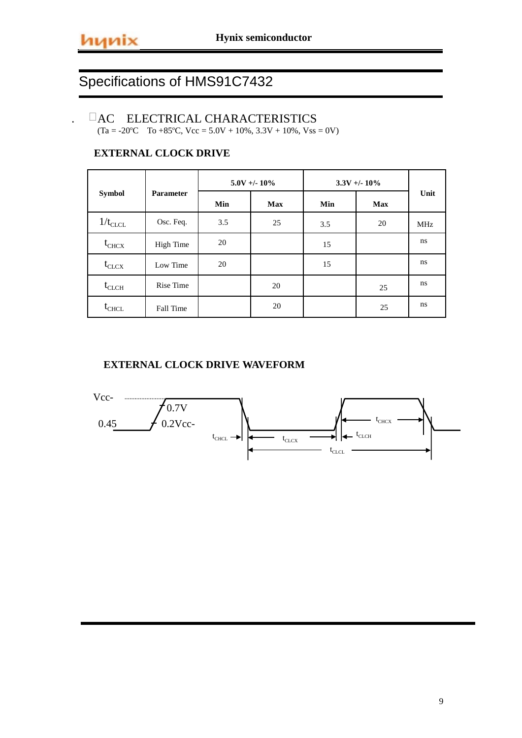l,

# Specifications of HMS91C7432

## -ACELECTRICAL CHARACTERISTICS

 $(Ta = -20^{\circ}C \quad To +85^{\circ}C, \text{ Vcc} = 5.0V + 10\%, 3.3V + 10\%, \text{ Vss} = 0V)$ 

## **EXTERNAL CLOCK DRIVE**

|              |                  |     | $5.0V + - 10\%$ |     | $3.3V + 10\%$ |            |
|--------------|------------------|-----|-----------------|-----|---------------|------------|
| Symbol       | <b>Parameter</b> | Min | <b>Max</b>      | Min | <b>Max</b>    | Unit       |
| $1/t_{CLCL}$ | Osc. Feq.        | 3.5 | 25              | 3.5 | 20            | <b>MHz</b> |
| $t_{CHCX}$   | High Time        | 20  |                 | 15  |               | ns.        |
| $t_{CLCX}$   | Low Time         | 20  |                 | 15  |               | ns.        |
| $t_{CLCH}$   | Rise Time        |     | 20              |     | 25            | ns.        |
| $t_{CHCL}$   | Fall Time        |     | 20              |     | 25            | ns         |

## **EXTERNAL CLOCK DRIVE WAVEFORM**

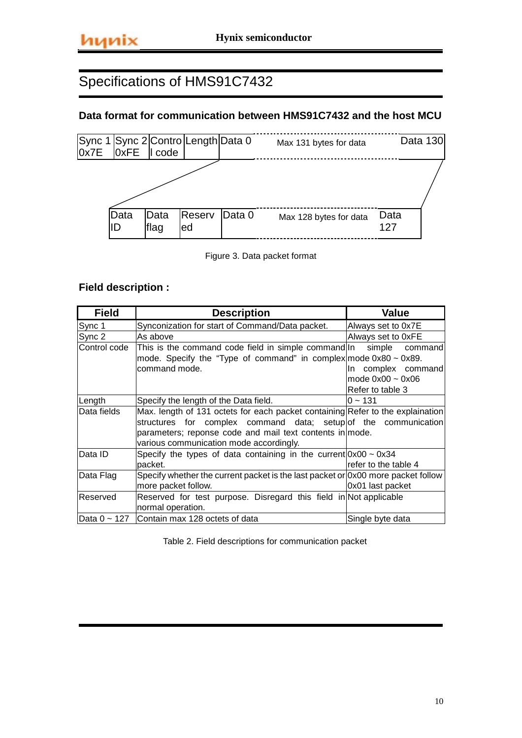## **Data format for communication between HMS91C7432 and the host MCU**



Figure 3. Data packet format

## **Field description :**

| <b>Field</b> | <b>Description</b>                                                                                                                                                                                                                                       | Value                                                                    |
|--------------|----------------------------------------------------------------------------------------------------------------------------------------------------------------------------------------------------------------------------------------------------------|--------------------------------------------------------------------------|
| Sync 1       | Synconization for start of Command/Data packet.                                                                                                                                                                                                          | Always set to 0x7E                                                       |
| Sync 2       | As above                                                                                                                                                                                                                                                 | Always set to 0xFE                                                       |
| Control code | This is the command code field in simple command In simple<br>mode. Specify the "Type of command" in complex mode $0 \times 80 \sim 0 \times 89$ .<br>command mode.                                                                                      | commandl<br>In complex command<br>mode $0x00 - 0x06$<br>Refer to table 3 |
| Length       | Specify the length of the Data field.                                                                                                                                                                                                                    | $0 - 131$                                                                |
| Data fields  | Max. length of 131 octets for each packet containing Refer to the explaination<br>structures for complex command data; setup of the communication<br>parameters; reponse code and mail text contents in mode.<br>various communication mode accordingly. |                                                                          |
| Data ID      | Specify the types of data containing in the current $0 \times 00 \sim 0 \times 34$<br>packet.                                                                                                                                                            | refer to the table 4                                                     |
| Data Flag    | Specify whether the current packet is the last packet or $\alpha$ ox00 more packet follow<br>more packet follow.                                                                                                                                         | 0x01 last packet                                                         |
| Reserved     | Reserved for test purpose. Disregard this field in Not applicable<br>normal operation.                                                                                                                                                                   |                                                                          |
|              | Data $0 \sim 127$ Contain max 128 octets of data                                                                                                                                                                                                         | Single byte data                                                         |

Table 2. Field descriptions for communication packet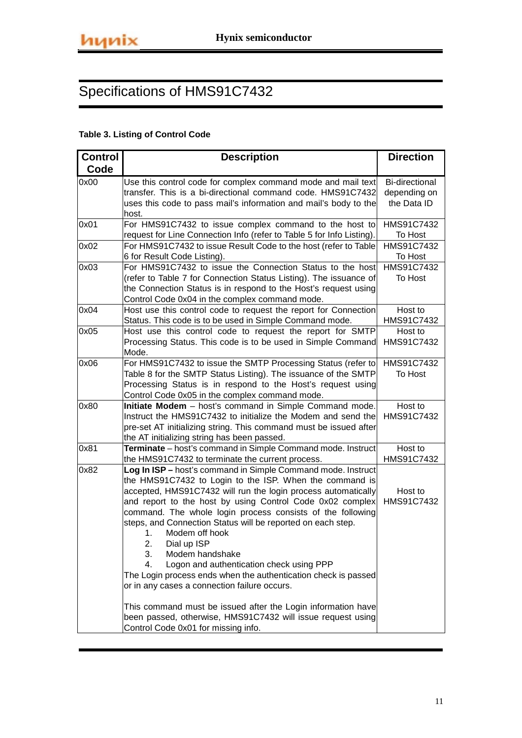## **Table 3. Listing of Control Code**

| <b>Control</b> | <b>Description</b>                                                                                                      | <b>Direction</b>      |
|----------------|-------------------------------------------------------------------------------------------------------------------------|-----------------------|
| Code           |                                                                                                                         |                       |
| 0x00           | Use this control code for complex command mode and mail text                                                            | <b>Bi-directional</b> |
|                | transfer. This is a bi-directional command code. HMS91C7432                                                             | depending on          |
|                | uses this code to pass mail's information and mail's body to the                                                        | the Data ID           |
|                | host.                                                                                                                   |                       |
| 0x01           | For HMS91C7432 to issue complex command to the host to                                                                  | HMS91C7432            |
|                | request for Line Connection Info (refer to Table 5 for Info Listing).                                                   | To Host               |
| 0x02           | For HMS91C7432 to issue Result Code to the host (refer to Table                                                         | HMS91C7432            |
| 0x03           | 6 for Result Code Listing).<br>For HMS91C7432 to issue the Connection Status to the host                                | To Host<br>HMS91C7432 |
|                | (refer to Table 7 for Connection Status Listing). The issuance of                                                       | To Host               |
|                | the Connection Status is in respond to the Host's request using                                                         |                       |
|                | Control Code 0x04 in the complex command mode.                                                                          |                       |
| 0x04           | Host use this control code to request the report for Connection                                                         | Host to               |
|                | Status. This code is to be used in Simple Command mode.                                                                 | HMS91C7432            |
| 0x05           | Host use this control code to request the report for SMTP                                                               | Host to               |
|                | Processing Status. This code is to be used in Simple Command                                                            | HMS91C7432            |
|                | Mode.                                                                                                                   |                       |
| 0x06           | For HMS91C7432 to issue the SMTP Processing Status (refer to                                                            | HMS91C7432            |
|                | Table 8 for the SMTP Status Listing). The issuance of the SMTP                                                          | To Host               |
|                | Processing Status is in respond to the Host's request using                                                             |                       |
|                | Control Code 0x05 in the complex command mode.                                                                          |                       |
| 0x80           | Initiate Modem - host's command in Simple Command mode.<br>Instruct the HMS91C7432 to initialize the Modem and send the | Host to<br>HMS91C7432 |
|                | pre-set AT initializing string. This command must be issued after                                                       |                       |
|                | the AT initializing string has been passed.                                                                             |                       |
| 0x81           | Terminate - host's command in Simple Command mode. Instruct                                                             | Host to               |
|                | the HMS91C7432 to terminate the current process.                                                                        | HMS91C7432            |
| 0x82           | Log In ISP - host's command in Simple Command mode. Instruct                                                            |                       |
|                | the HMS91C7432 to Login to the ISP. When the command is                                                                 |                       |
|                | accepted, HMS91C7432 will run the login process automatically                                                           | Host to               |
|                | and report to the host by using Control Code 0x02 complex                                                               | HMS91C7432            |
|                | command. The whole login process consists of the following                                                              |                       |
|                | steps, and Connection Status will be reported on each step.                                                             |                       |
|                | Modem off hook<br>1.                                                                                                    |                       |
|                | Dial up ISP<br>2.                                                                                                       |                       |
|                | 3.<br>Modem handshake                                                                                                   |                       |
|                | 4.<br>Logon and authentication check using PPP<br>The Login process ends when the authentication check is passed        |                       |
|                | or in any cases a connection failure occurs.                                                                            |                       |
|                |                                                                                                                         |                       |
|                | This command must be issued after the Login information have                                                            |                       |
|                | been passed, otherwise, HMS91C7432 will issue request using                                                             |                       |
|                | Control Code 0x01 for missing info.                                                                                     |                       |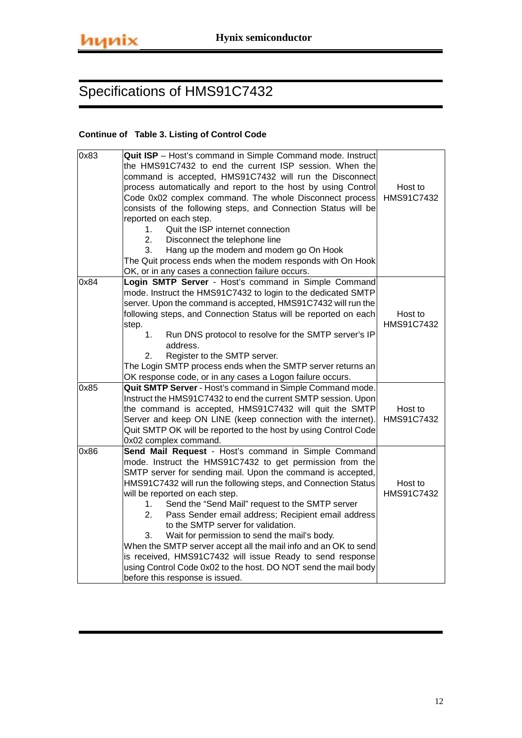### **Continue of Table 3. Listing of Control Code**

| 0x83 | Quit ISP - Host's command in Simple Command mode. Instruct<br>the HMS91C7432 to end the current ISP session. When the<br>command is accepted, HMS91C7432 will run the Disconnect<br>process automatically and report to the host by using Control<br>Code 0x02 complex command. The whole Disconnect process<br>consists of the following steps, and Connection Status will be<br>reported on each step.<br>Quit the ISP internet connection<br>$1_{-}$<br>2.<br>Disconnect the telephone line<br>Hang up the modem and modem go On Hook<br>3.                                                                                                                                                                                            | Host to<br>HMS91C7432 |
|------|-------------------------------------------------------------------------------------------------------------------------------------------------------------------------------------------------------------------------------------------------------------------------------------------------------------------------------------------------------------------------------------------------------------------------------------------------------------------------------------------------------------------------------------------------------------------------------------------------------------------------------------------------------------------------------------------------------------------------------------------|-----------------------|
|      | The Quit process ends when the modem responds with On Hook<br>OK, or in any cases a connection failure occurs.                                                                                                                                                                                                                                                                                                                                                                                                                                                                                                                                                                                                                            |                       |
| 0x84 | Login SMTP Server - Host's command in Simple Command<br>mode. Instruct the HMS91C7432 to login to the dedicated SMTP<br>server. Upon the command is accepted, HMS91C7432 will run the<br>following steps, and Connection Status will be reported on each<br>step.<br>1 <sub>1</sub><br>Run DNS protocol to resolve for the SMTP server's IP<br>address.<br>Register to the SMTP server.<br>2.<br>The Login SMTP process ends when the SMTP server returns an<br>OK response code, or in any cases a Logon failure occurs.                                                                                                                                                                                                                 | Host to<br>HMS91C7432 |
| 0x85 | Quit SMTP Server - Host's command in Simple Command mode.<br>Instruct the HMS91C7432 to end the current SMTP session. Upon<br>the command is accepted, HMS91C7432 will quit the SMTP<br>Server and keep ON LINE (keep connection with the internet).<br>Quit SMTP OK will be reported to the host by using Control Code<br>0x02 complex command.                                                                                                                                                                                                                                                                                                                                                                                          | Host to<br>HMS91C7432 |
| 0x86 | Send Mail Request - Host's command in Simple Command<br>mode. Instruct the HMS91C7432 to get permission from the<br>SMTP server for sending mail. Upon the command is accepted,<br>HMS91C7432 will run the following steps, and Connection Status<br>will be reported on each step.<br>Send the "Send Mail" request to the SMTP server<br>1.<br>2.<br>Pass Sender email address; Recipient email address<br>to the SMTP server for validation.<br>Wait for permission to send the mail's body.<br>3.<br>When the SMTP server accept all the mail info and an OK to send<br>is received, HMS91C7432 will issue Ready to send response<br>using Control Code 0x02 to the host. DO NOT send the mail body<br>before this response is issued. | Host to<br>HMS91C7432 |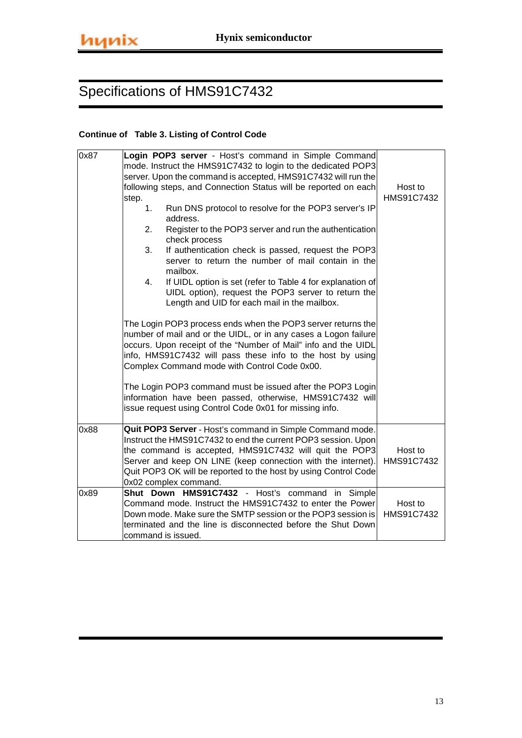### **Continue of Table 3. Listing of Control Code**

| 0x87 | Login POP3 server - Host's command in Simple Command                                                                                                                                                                                                                                                                                             |                       |
|------|--------------------------------------------------------------------------------------------------------------------------------------------------------------------------------------------------------------------------------------------------------------------------------------------------------------------------------------------------|-----------------------|
|      | mode. Instruct the HMS91C7432 to login to the dedicated POP3                                                                                                                                                                                                                                                                                     |                       |
|      | server. Upon the command is accepted, HMS91C7432 will run the                                                                                                                                                                                                                                                                                    |                       |
|      | following steps, and Connection Status will be reported on each                                                                                                                                                                                                                                                                                  | Host to               |
|      | step.                                                                                                                                                                                                                                                                                                                                            | HMS91C7432            |
|      | Run DNS protocol to resolve for the POP3 server's IP<br>1.<br>address.                                                                                                                                                                                                                                                                           |                       |
|      | Register to the POP3 server and run the authentication<br>2.<br>check process                                                                                                                                                                                                                                                                    |                       |
|      | If authentication check is passed, request the POP3<br>3.<br>server to return the number of mail contain in the<br>mailbox.                                                                                                                                                                                                                      |                       |
|      | If UIDL option is set (refer to Table 4 for explanation of<br>4.<br>UIDL option), request the POP3 server to return the<br>Length and UID for each mail in the mailbox.                                                                                                                                                                          |                       |
|      | The Login POP3 process ends when the POP3 server returns the<br>number of mail and or the UIDL, or in any cases a Logon failure<br>occurs. Upon receipt of the "Number of Mail" info and the UIDL<br>info, HMS91C7432 will pass these info to the host by using<br>Complex Command mode with Control Code 0x00.                                  |                       |
|      | The Login POP3 command must be issued after the POP3 Login<br>information have been passed, otherwise, HMS91C7432 will<br>issue request using Control Code 0x01 for missing info.                                                                                                                                                                |                       |
| 0x88 | Quit POP3 Server - Host's command in Simple Command mode.<br>Instruct the HMS91C7432 to end the current POP3 session. Upon<br>the command is accepted, HMS91C7432 will quit the POP3<br>Server and keep ON LINE (keep connection with the internet).<br>Quit POP3 OK will be reported to the host by using Control Code<br>0x02 complex command. | Host to<br>HMS91C7432 |
| 0x89 | Shut Down HMS91C7432 - Host's command in Simple<br>Command mode. Instruct the HMS91C7432 to enter the Power<br>Down mode. Make sure the SMTP session or the POP3 session is<br>terminated and the line is disconnected before the Shut Down<br>command is issued.                                                                                | Host to<br>HMS91C7432 |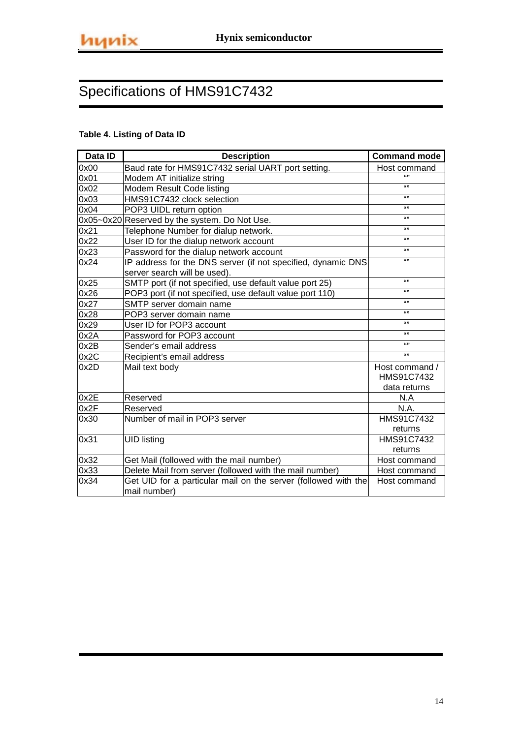## **Table 4. Listing of Data ID**

| Data ID | <b>Description</b>                                             | <b>Command mode</b>          |
|---------|----------------------------------------------------------------|------------------------------|
| 0x00    | Baud rate for HMS91C7432 serial UART port setting.             | Host command                 |
| 0x01    | Modem AT initialize string                                     | 6699                         |
| 0x02    | Modem Result Code listing                                      | 6699                         |
| 0x03    | HMS91C7432 clock selection                                     | 6699                         |
| 0x04    | POP3 UIDL return option                                        | 6699                         |
|         | 0x05~0x20 Reserved by the system. Do Not Use.                  | 6699                         |
| 0x21    | Telephone Number for dialup network.                           | 6699                         |
| 0x22    | User ID for the dialup network account                         | 6699                         |
| 0x23    | Password for the dialup network account                        | 6699                         |
| 0x24    | IP address for the DNS server (if not specified, dynamic DNS   | 6699                         |
|         | server search will be used).                                   |                              |
| 0x25    | SMTP port (if not specified, use default value port 25)        | 6699                         |
| 0x26    | POP3 port (if not specified, use default value port 110)       | 6699                         |
| 0x27    | SMTP server domain name                                        | 6699                         |
| 0x28    | POP3 server domain name                                        | 6699                         |
| 0x29    | User ID for POP3 account                                       | 6699                         |
| 0x2A    | Password for POP3 account                                      | 6699                         |
| 0x2B    | Sender's email address                                         | 6699                         |
| 0x2C    | Recipient's email address                                      | 6699                         |
| 0x2D    | Mail text body                                                 | Host command /<br>HMS91C7432 |
| 0x2E    | Reserved                                                       | data returns<br>N.A          |
| 0x2F    | Reserved                                                       | N.A.                         |
| 0x30    | Number of mail in POP3 server                                  | HMS91C7432                   |
|         |                                                                | returns                      |
| 0x31    | <b>UID listing</b>                                             | HMS91C7432                   |
|         |                                                                | returns                      |
| 0x32    | Get Mail (followed with the mail number)                       | Host command                 |
| 0x33    | Delete Mail from server (followed with the mail number)        | Host command                 |
| 0x34    | Get UID for a particular mail on the server (followed with the | Host command                 |
|         | mail number)                                                   |                              |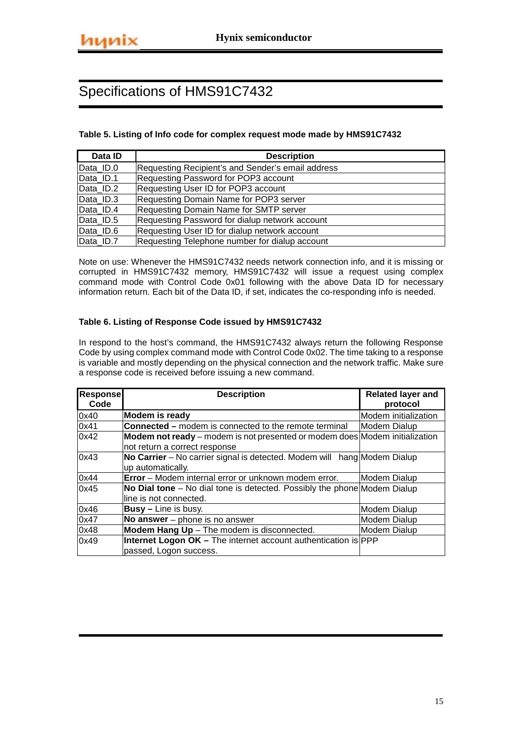### **Table 5. Listing of Info code for complex request mode made by HMS91C7432**

| Data ID   | <b>Description</b>                                |
|-----------|---------------------------------------------------|
| Data ID.0 | Requesting Recipient's and Sender's email address |
| Data ID.1 | Requesting Password for POP3 account              |
| Data ID.2 | Requesting User ID for POP3 account               |
| Data ID.3 | <b>Requesting Domain Name for POP3 server</b>     |
| Data ID.4 | <b>Requesting Domain Name for SMTP server</b>     |
| Data ID.5 | Requesting Password for dialup network account    |
| Data ID.6 | Requesting User ID for dialup network account     |
| Data ID.7 | Requesting Telephone number for dialup account    |

Note on use: Whenever the HMS91C7432 needs network connection info, and it is missing or corrupted in HMS91C7432 memory, HMS91C7432 will issue a request using complex command mode with Control Code 0x01 following with the above Data ID for necessary information return. Each bit of the Data ID, if set, indicates the co-responding info is needed.

### **Table 6. Listing of Response Code issued by HMS91C7432**

In respond to the host's command, the HMS91C7432 always return the following Response Code by using complex command mode with Control Code 0x02. The time taking to a response is variable and mostly depending on the physical connection and the network traffic. Make sure a response code is received before issuing a new command.

| <b>Response</b><br>Code | <b>Description</b>                                                                                           | <b>Related layer and</b><br>protocol |
|-------------------------|--------------------------------------------------------------------------------------------------------------|--------------------------------------|
| 0x40                    | <b>Modem is ready</b>                                                                                        | Modem initialization                 |
| 0x41                    | <b>Connected –</b> modem is connected to the remote terminal                                                 | <b>Modem Dialup</b>                  |
| 0x42                    | Modem not ready – modem is not presented or modem does Modem initialization<br>not return a correct response |                                      |
| 0x43                    | No Carrier – No carrier signal is detected. Modem will hang Modem Dialup<br>up automatically.                |                                      |
| 0x44                    | <b>Error</b> – Modem internal error or unknown modem error.                                                  | Modem Dialup                         |
| 0x45                    | No Dial tone – No dial tone is detected. Possibly the phone Modem Dialup<br>line is not connected.           |                                      |
| 0x46                    | <b>Busy</b> – Line is busy.                                                                                  | <b>Modem Dialup</b>                  |
| 0x47                    | No answer - phone is no answer                                                                               | <b>Modem Dialup</b>                  |
| 0x48                    | Modem Hang Up - The modem is disconnected.                                                                   | Modem Dialup                         |
| 0x49                    | Internet Logon OK - The internet account authentication is PPP<br>passed, Logon success.                     |                                      |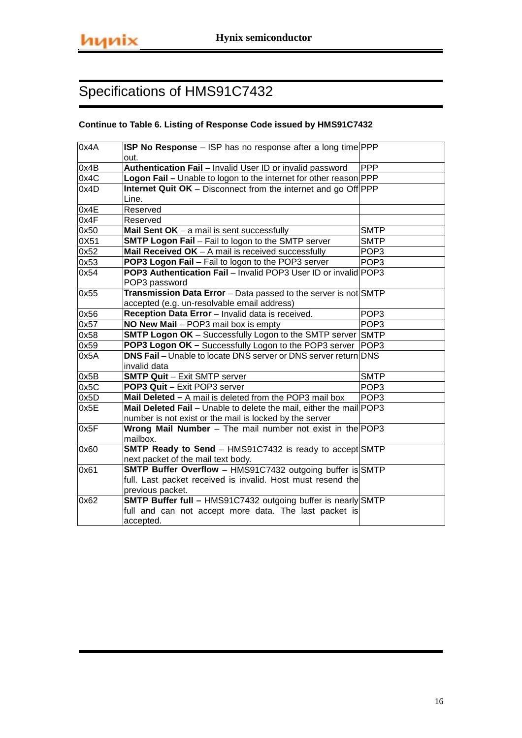### **Continue to Table 6. Listing of Response Code issued by HMS91C7432**

| 0x4A | ISP No Response - ISP has no response after a long time PPP            |                  |
|------|------------------------------------------------------------------------|------------------|
|      | out.                                                                   |                  |
| 0x4B | Authentication Fail - Invalid User ID or invalid password              | PPP              |
| 0x4C | Logon Fail - Unable to logon to the internet for other reason PPP      |                  |
| 0x4D | <b>Internet Quit OK</b> – Disconnect from the internet and go Off PPP  |                  |
|      | Line.                                                                  |                  |
| 0x4E | Reserved                                                               |                  |
| 0x4F | Reserved                                                               |                  |
| 0x50 | <b>Mail Sent OK</b> $-$ a mail is sent successfully                    | <b>SMTP</b>      |
| 0X51 | <b>SMTP Logon Fail</b> - Fail to logon to the SMTP server              | <b>SMTP</b>      |
| 0x52 | <b>Mail Received OK</b> $-$ A mail is received successfully            | POP <sub>3</sub> |
| 0x53 | POP3 Logon Fail - Fail to logon to the POP3 server                     | POP <sub>3</sub> |
| 0x54 | <b>POP3 Authentication Fail</b> – Invalid POP3 User ID or invalid POP3 |                  |
|      | POP3 password                                                          |                  |
| 0x55 | Transmission Data Error - Data passed to the server is not SMTP        |                  |
|      | accepted (e.g. un-resolvable email address)                            |                  |
| 0x56 | Reception Data Error - Invalid data is received.                       | POP <sub>3</sub> |
| 0x57 | NO New Mail - POP3 mail box is empty                                   | POP <sub>3</sub> |
| 0x58 | <b>SMTP Logon OK</b> – Successfully Logon to the SMTP server SMTP      |                  |
| 0x59 | <b>POP3 Logon OK</b> – Successfully Logon to the POP3 server POP3      |                  |
| 0x5A | <b>DNS Fail</b> - Unable to locate DNS server or DNS server return DNS |                  |
|      | invalid data                                                           |                  |
| 0x5B | <b>SMTP Quit - Exit SMTP server</b>                                    | <b>SMTP</b>      |
| 0x5C | POP3 Quit - Exit POP3 server                                           | POP <sub>3</sub> |
| 0x5D | Mail Deleted - A mail is deleted from the POP3 mail box                | POP <sub>3</sub> |
| 0x5E | Mail Deleted Fail - Unable to delete the mail, either the mail POP3    |                  |
|      | number is not exist or the mail is locked by the server                |                  |
| 0x5F | Wrong Mail Number - The mail number not exist in the POP3              |                  |
|      | mailbox.                                                               |                  |
| 0x60 | <b>SMTP Ready to Send</b> – HMS91C7432 is ready to accept SMTP         |                  |
|      | next packet of the mail text body.                                     |                  |
| 0x61 | SMTP Buffer Overflow - HMS91C7432 outgoing buffer is SMTP              |                  |
|      | full. Last packet received is invalid. Host must resend the            |                  |
|      | previous packet.                                                       |                  |
| 0x62 | <b>SMTP Buffer full - HMS91C7432 outgoing buffer is nearly SMTP</b>    |                  |
|      | full and can not accept more data. The last packet is                  |                  |
|      | accepted.                                                              |                  |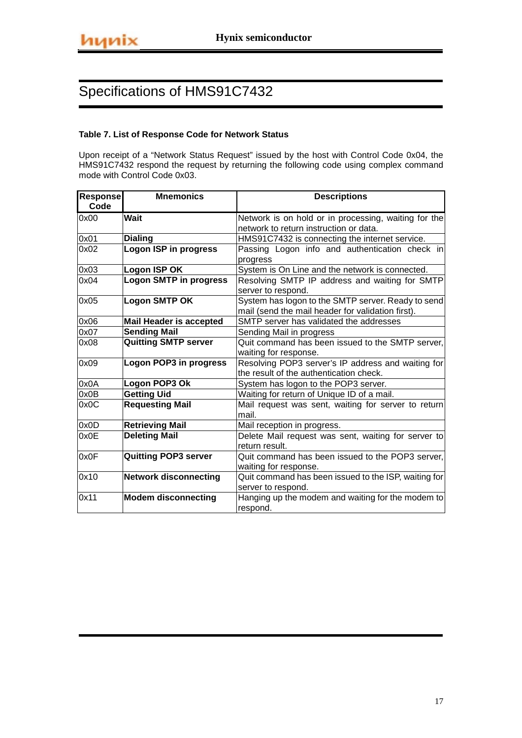### **Table 7. List of Response Code for Network Status**

Upon receipt of a "Network Status Request" issued by the host with Control Code 0x04, the HMS91C7432 respond the request by returning the following code using complex command mode with Control Code 0x03.

| Response | <b>Mnemonics</b>               | <b>Descriptions</b>                                  |
|----------|--------------------------------|------------------------------------------------------|
| Code     |                                |                                                      |
| 0x00     | <b>Wait</b>                    | Network is on hold or in processing, waiting for the |
|          |                                | network to return instruction or data.               |
| 0x01     | <b>Dialing</b>                 | HMS91C7432 is connecting the internet service.       |
| 0x02     | <b>Logon ISP in progress</b>   | Passing Logon info and authentication check in       |
|          |                                | progress                                             |
| 0x03     | Logon ISP OK                   | System is On Line and the network is connected.      |
| 0x04     | <b>Logon SMTP in progress</b>  | Resolving SMTP IP address and waiting for SMTP       |
|          |                                | server to respond.                                   |
| 0x05     | <b>Logon SMTP OK</b>           | System has logon to the SMTP server. Ready to send   |
|          |                                | mail (send the mail header for validation first).    |
| 0x06     | <b>Mail Header is accepted</b> | SMTP server has validated the addresses              |
| 0x07     | <b>Sending Mail</b>            | Sending Mail in progress                             |
| 0x08     | <b>Quitting SMTP server</b>    | Quit command has been issued to the SMTP server,     |
|          |                                | waiting for response.                                |
| 0x09     | Logon POP3 in progress         | Resolving POP3 server's IP address and waiting for   |
|          |                                | the result of the authentication check.              |
| 0x0A     | Logon POP3 Ok                  | System has logon to the POP3 server.                 |
| 0x0B     | <b>Getting Uid</b>             | Waiting for return of Unique ID of a mail.           |
| 0x0C     | <b>Requesting Mail</b>         | Mail request was sent, waiting for server to return  |
|          |                                | mail.                                                |
| 0x0D     | <b>Retrieving Mail</b>         | Mail reception in progress.                          |
| 0x0E     | <b>Deleting Mail</b>           | Delete Mail request was sent, waiting for server to  |
|          |                                | return result.                                       |
| 0x0F     | <b>Quitting POP3 server</b>    | Quit command has been issued to the POP3 server,     |
|          |                                | waiting for response.                                |
| 0x10     | <b>Network disconnecting</b>   | Quit command has been issued to the ISP, waiting for |
|          |                                | server to respond.                                   |
| 0x11     | <b>Modem disconnecting</b>     | Hanging up the modem and waiting for the modem to    |
|          |                                | respond.                                             |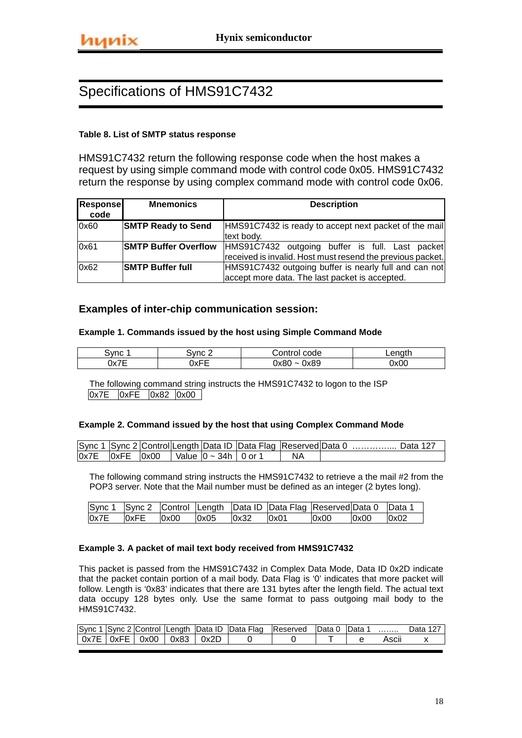### **Table 8. List of SMTP status response**

HMS91C7432 return the following response code when the host makes a request by using simple command mode with control code 0x05. HMS91C7432 return the response by using complex command mode with control code 0x06.

| Response<br>code | <b>Mnemonics</b>            | <b>Description</b>                                         |  |  |  |  |  |
|------------------|-----------------------------|------------------------------------------------------------|--|--|--|--|--|
| 0x60             | <b>SMTP Ready to Send</b>   | HMS91C7432 is ready to accept next packet of the mail      |  |  |  |  |  |
|                  |                             | text body.                                                 |  |  |  |  |  |
| 0x61             | <b>SMTP Buffer Overflow</b> | HMS91C7432 outgoing buffer is full. Last packet            |  |  |  |  |  |
|                  |                             | received is invalid. Host must resend the previous packet. |  |  |  |  |  |
| 0x62             | <b>SMTP Buffer full</b>     | HMS91C7432 outgoing buffer is nearly full and can not      |  |  |  |  |  |
|                  |                             | accept more data. The last packet is accepted.             |  |  |  |  |  |

### **Examples of inter-chip communication session:**

#### **Example 1. Commands issued by the host using Simple Command Mode**

| ∵ Vnc | `vnc  | code<br>$  -$<br> | <u>anath</u> |
|-------|-------|-------------------|--------------|
| $ -$  | --    | 0x89              | 0x0C         |
| Ιv    | `\v∟L | 0x8               |              |
| ᅅᄼᄔ   | U A L | -                 |              |

The following command string instructs the HMS91C7432 to logon to the ISP 0x7E 0xFE 0x82 0x00

#### **Example 2. Command issued by the host that using Complex Command Mode**

|  |  |                                                          |    | Sync 1 Sync 2 Control Length Data ID Data Flag Reserved Data 0  Data 127 |
|--|--|----------------------------------------------------------|----|--------------------------------------------------------------------------|
|  |  | $ 0x7E$ $ 0xFE$ $ 0x00$ $ $ Value $ 0 \sim 34h$   0 or 1 | ΝA |                                                                          |

The following command string instructs the HMS91C7432 to retrieve a the mail #2 from the POP3 server. Note that the Mail number must be defined as an integer (2 bytes long).

|      |      |      |      |      | Sync 1 Sync 2 Control Length Data ID Data Flag Reserved Data 0 Data 1 |      |      |      |
|------|------|------|------|------|-----------------------------------------------------------------------|------|------|------|
| 0x7E | 0xFE | 0x00 | 0x05 | 0x32 | $\log_{10}$                                                           | 0x00 | 0x00 | 0x02 |

### **Example 3. A packet of mail text body received from HMS91C7432**

This packet is passed from the HMS91C7432 in Complex Data Mode, Data ID 0x2D indicate that the packet contain portion of a mail body. Data Flag is '0' indicates that more packet will follow. Length is '0x83' indicates that there are 131 bytes after the length field. The actual text data occupy 128 bytes only. Use the same format to pass outgoing mail body to the HMS91C7432.

| Sync <sub>1</sub>                      |  |      |      | <sup>1</sup> Sync 2 Control Length Data ID Data Flag | Reserved | IData 0 | lData . | .     | ∩ata |
|----------------------------------------|--|------|------|------------------------------------------------------|----------|---------|---------|-------|------|
| $\vert$ 0x7E $\vert$ 0xFE $\vert$ 0x00 |  | 0x83 | 0x2D |                                                      |          |         |         | Ascii |      |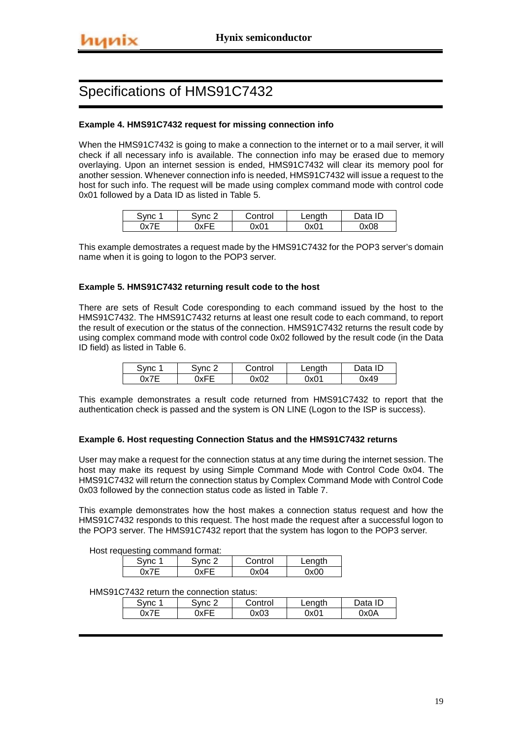### **Example 4. HMS91C7432 request for missing connection info**

When the HMS91C7432 is going to make a connection to the internet or to a mail server, it will check if all necessary info is available. The connection info may be erased due to memory overlaying. Upon an internet session is ended, HMS91C7432 will clear its memory pool for another session. Whenever connection info is needed, HMS91C7432 will issue a request to the host for such info. The request will be made using complex command mode with control code 0x01 followed by a Data ID as listed in Table 5.

| Svnc | $S$ Vnc $\geq$ | . Control | Length | Data ID |
|------|----------------|-----------|--------|---------|
| 0x7E | )xFE           | Jx01      | 0x01   | 0x08    |

This example demostrates a request made by the HMS91C7432 for the POP3 server's domain name when it is going to logon to the POP3 server.

#### **Example 5. HMS91C7432 returning result code to the host**

There are sets of Result Code coresponding to each command issued by the host to the HMS91C7432. The HMS91C7432 returns at least one result code to each command, to report the result of execution or the status of the connection. HMS91C7432 returns the result code by using complex command mode with control code 0x02 followed by the result code (in the Data ID field) as listed in Table 6.

| Sync 1 | Svnc 2 | Control | Length | Data ID |
|--------|--------|---------|--------|---------|
| 0x7E   | 0xFE   | 0x02    | 0x01   | 0x49    |

This example demonstrates a result code returned from HMS91C7432 to report that the authentication check is passed and the system is ON LINE (Logon to the ISP is success).

#### **Example 6. Host requesting Connection Status and the HMS91C7432 returns**

User may make a request for the connection status at any time during the internet session. The host may make its request by using Simple Command Mode with Control Code 0x04. The HMS91C7432 will return the connection status by Complex Command Mode with Control Code 0x03 followed by the connection status code as listed in Table 7.

This example demonstrates how the host makes a connection status request and how the HMS91C7432 responds to this request. The host made the request after a successful logon to the POP3 server. The HMS91C7432 report that the system has logon to the POP3 server.

Host requesting command format:

|  | 3vnc 2 | Control | Length |
|--|--------|---------|--------|
|  |        | ი×ი4    | 0x00   |

#### HMS91C7432 return the connection status:

| ਤ∀nc | S∨nc ∠ | ∴ontrol | Length | Jata ID |
|------|--------|---------|--------|---------|
|      | 0xFE   | 0x03    | 0x01   | 0x0A    |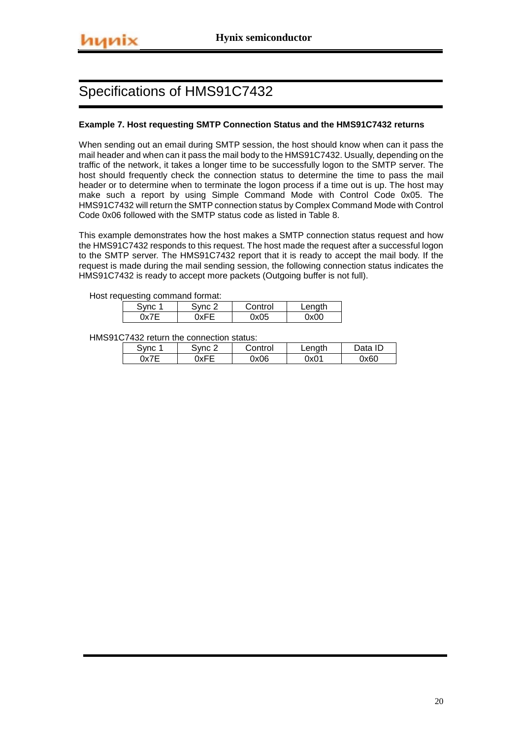#### **Example 7. Host requesting SMTP Connection Status and the HMS91C7432 returns**

When sending out an email during SMTP session, the host should know when can it pass the mail header and when can it pass the mail body to the HMS91C7432. Usually, depending on the traffic of the network, it takes a longer time to be successfully logon to the SMTP server. The host should frequently check the connection status to determine the time to pass the mail header or to determine when to terminate the logon process if a time out is up. The host may make such a report by using Simple Command Mode with Control Code 0x05. The HMS91C7432 will return the SMTP connection status by Complex Command Mode with Control Code 0x06 followed with the SMTP status code as listed in Table 8.

This example demonstrates how the host makes a SMTP connection status request and how the HMS91C7432 responds to this request. The host made the request after a successful logon to the SMTP server. The HMS91C7432 report that it is ready to accept the mail body. If the request is made during the mail sending session, the following connection status indicates the HMS91C7432 is ready to accept more packets (Outgoing buffer is not full).

Host requesting command format:

| Sync 1 | Svnc 2      | Control      | Lenath |  |  |  |  |  |
|--------|-------------|--------------|--------|--|--|--|--|--|
|        | <b>NYFF</b> | $\lambda$ 05 | 0x00   |  |  |  |  |  |

HMS91C7432 return the connection status:

| Svnc | Sync C | Control | Length | Data ID |
|------|--------|---------|--------|---------|
| 0x7E | า⊽⊏⊏   | 0x06    | 0x01   | 0x60    |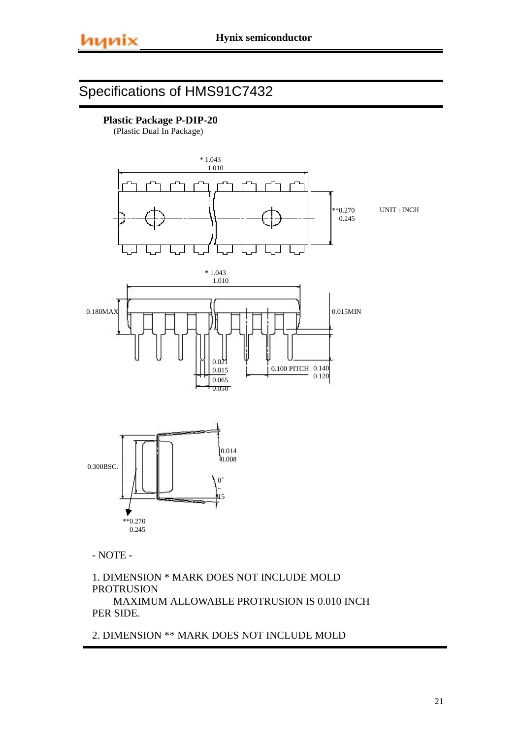

(Plastic Dual In Package)



- NOTE -

1. DIMENSION \* MARK DOES NOT INCLUDE MOLD PROTRUSION MAXIMUM ALLOWABLE PROTRUSION IS 0.010 INCH PER SIDE.

2. DIMENSION \*\* MARK DOES NOT INCLUDE MOLD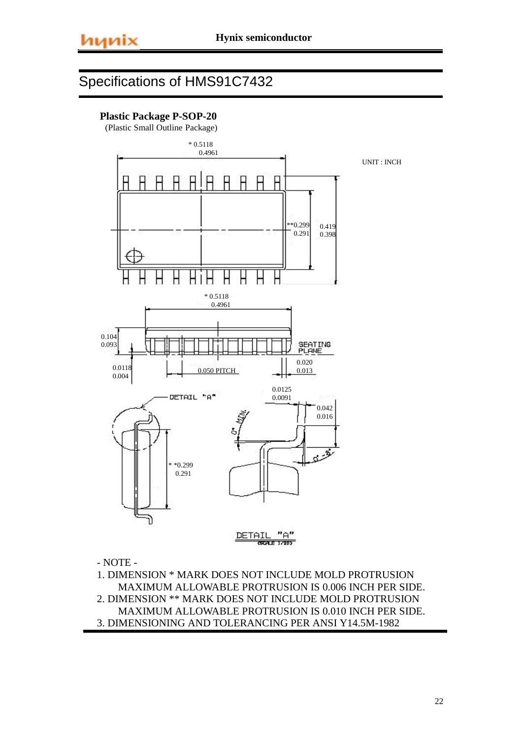### **Plastic Package P-SOP-20**

(Plastic Small Outline Package)



- NOTE -

1. DIMENSION \* MARK DOES NOT INCLUDE MOLD PROTRUSION MAXIMUM ALLOWABLE PROTRUSION IS 0.006 INCH PER SIDE. 2. DIMENSION \*\* MARK DOES NOT INCLUDE MOLD PROTRUSION MAXIMUM ALLOWABLE PROTRUSION IS 0.010 INCH PER SIDE. 3. DIMENSIONING AND TOLERANCING PER ANSI Y14.5M-1982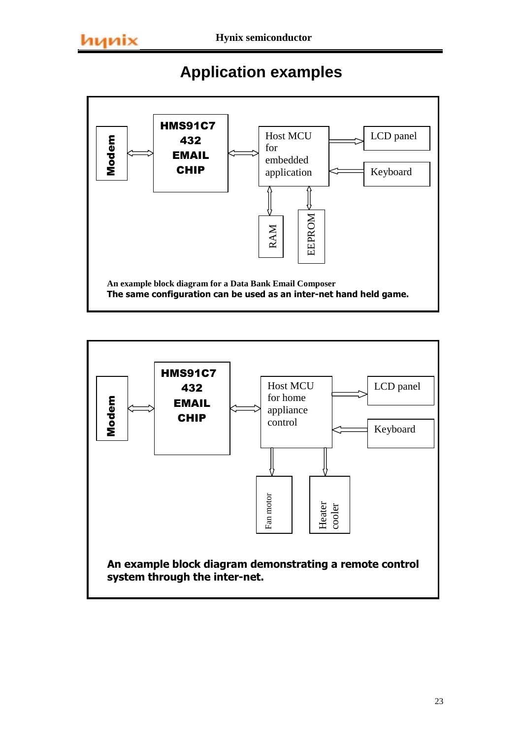# **Application examples**